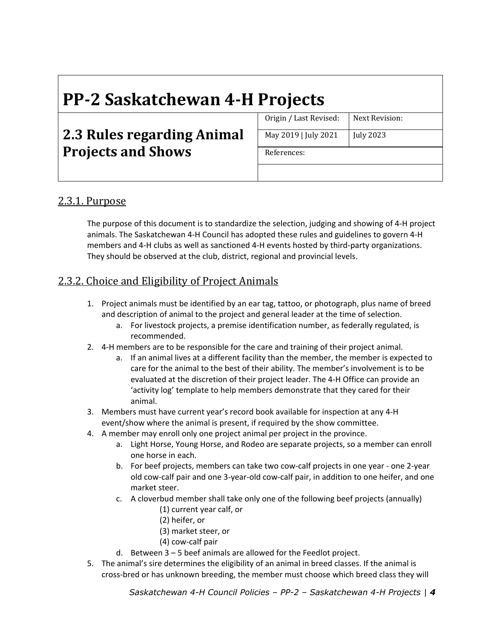# **PP‐2 Saskatchewan 4‐H Projects**

# **2.3 Rules regarding Animal Projects and Shows**

Origin / Last Revised: Next Revision: May 2019 | July 2021 | July 2023

References:

# 2.3.1. Purpose

The purpose of this document is to standardize the selection, judging and showing of 4‐H project animals. The Saskatchewan 4‐H Council has adopted these rules and guidelines to govern 4‐H members and 4-H clubs as well as sanctioned 4-H events hosted by third-party organizations. They should be observed at the club, district, regional and provincial levels.

# 2.3.2. Choice and Eligibility of Project Animals

- 1. Project animals must be identified by an ear tag, tattoo, or photograph, plus name of breed and description of animal to the project and general leader at the time of selection.
	- a. For livestock projects, a premise identification number, as federally regulated, is recommended.
- 2. 4‐H members are to be responsible for the care and training of their project animal.
	- a. If an animal lives at a different facility than the member, the member is expected to care for the animal to the best of their ability. The member's involvement is to be evaluated at the discretion of their project leader. The 4‐H Office can provide an 'activity log' template to help members demonstrate that they cared for their animal.
- 3. Members must have current year's record book available for inspection at any 4‐H event/show where the animal is present, if required by the show committee.
- 4. A member may enroll only one project animal per project in the province.
	- a. Light Horse, Young Horse, and Rodeo are separate projects, so a member can enroll one horse in each.
	- b. For beef projects, members can take two cow‐calf projects in one year ‐ one 2‐year old cow‐calf pair and one 3‐year‐old cow‐calf pair, in addition to one heifer, and one market steer.
	- c. A cloverbud member shall take only one of the following beef projects (annually)
		- (1) current year calf, or
		- (2) heifer, or
		- (3) market steer, or
		- (4) cow‐calf pair
	- d. Between 3 5 beef animals are allowed for the Feedlot project.
- 5. The animal's sire determines the eligibility of an animal in breed classes. If the animal is cross‐bred or has unknown breeding, the member must choose which breed class they will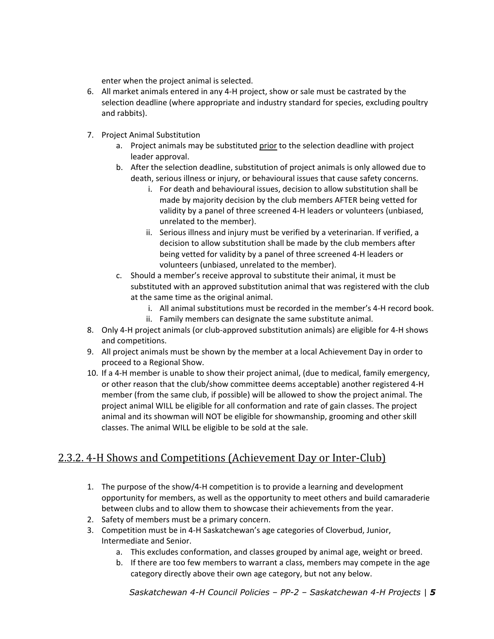enter when the project animal is selected.

- 6. All market animals entered in any 4‐H project, show or sale must be castrated by the selection deadline (where appropriate and industry standard for species, excluding poultry and rabbits).
- 7. Project Animal Substitution
	- a. Project animals may be substituted prior to the selection deadline with project leader approval.
	- b. After the selection deadline, substitution of project animals is only allowed due to death, serious illness or injury, or behavioural issues that cause safety concerns.
		- i. For death and behavioural issues, decision to allow substitution shall be made by majority decision by the club members AFTER being vetted for validity by a panel of three screened 4‐H leaders or volunteers (unbiased, unrelated to the member).
		- ii. Serious illness and injury must be verified by a veterinarian. If verified, a decision to allow substitution shall be made by the club members after being vetted for validity by a panel of three screened 4‐H leaders or volunteers (unbiased, unrelated to the member).
	- c. Should a member's receive approval to substitute their animal, it must be substituted with an approved substitution animal that was registered with the club at the same time as the original animal.
		- i. All animal substitutions must be recorded in the member's 4‐H record book.
		- ii. Family members can designate the same substitute animal.
- 8. Only 4-H project animals (or club-approved substitution animals) are eligible for 4-H shows and competitions.
- 9. All project animals must be shown by the member at a local Achievement Day in order to proceed to a Regional Show.
- 10. If a 4‐H member is unable to show their project animal, (due to medical, family emergency, or other reason that the club/show committee deems acceptable) another registered 4‐H member (from the same club, if possible) will be allowed to show the project animal. The project animal WILL be eligible for all conformation and rate of gain classes. The project animal and its showman will NOT be eligible for showmanship, grooming and other skill classes. The animal WILL be eligible to be sold at the sale.

# 2.3.2. 4-H Shows and Competitions (Achievement Day or Inter-Club)

- 1. The purpose of the show/4‐H competition is to provide a learning and development opportunity for members, as well as the opportunity to meet others and build camaraderie between clubs and to allow them to showcase their achievements from the year.
- 2. Safety of members must be a primary concern.
- 3. Competition must be in 4‐H Saskatchewan's age categories of Cloverbud, Junior, Intermediate and Senior.
	- a. This excludes conformation, and classes grouped by animal age, weight or breed.
	- b. If there are too few members to warrant a class, members may compete in the age category directly above their own age category, but not any below.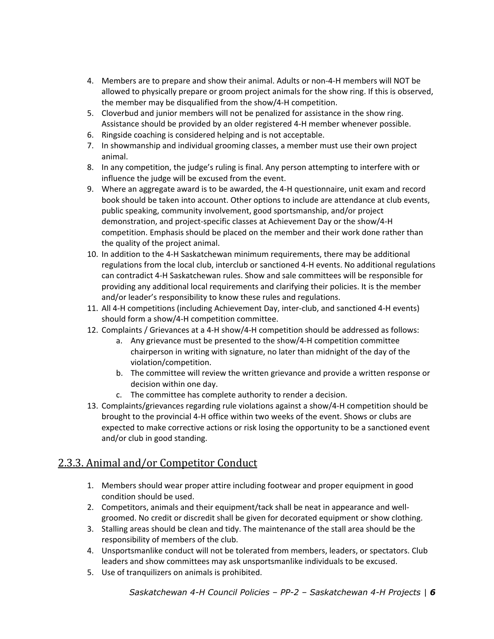- 4. Members are to prepare and show their animal. Adults or non‐4‐H members will NOT be allowed to physically prepare or groom project animals for the show ring. If this is observed, the member may be disqualified from the show/4‐H competition.
- 5. Cloverbud and junior members will not be penalized for assistance in the show ring. Assistance should be provided by an older registered 4‐H member whenever possible.
- 6. Ringside coaching is considered helping and is not acceptable.
- 7. In showmanship and individual grooming classes, a member must use their own project animal.
- 8. In any competition, the judge's ruling is final. Any person attempting to interfere with or influence the judge will be excused from the event.
- 9. Where an aggregate award is to be awarded, the 4‐H questionnaire, unit exam and record book should be taken into account. Other options to include are attendance at club events, public speaking, community involvement, good sportsmanship, and/or project demonstration, and project‐specific classes at Achievement Day or the show/4‐H competition. Emphasis should be placed on the member and their work done rather than the quality of the project animal.
- 10. In addition to the 4‐H Saskatchewan minimum requirements, there may be additional regulations from the local club, interclub or sanctioned 4‐H events. No additional regulations can contradict 4‐H Saskatchewan rules. Show and sale committees will be responsible for providing any additional local requirements and clarifying their policies. It is the member and/or leader's responsibility to know these rules and regulations.
- 11. All 4‐H competitions (including Achievement Day, inter‐club, and sanctioned 4‐H events) should form a show/4‐H competition committee.
- 12. Complaints / Grievances at a 4‐H show/4‐H competition should be addressed as follows:
	- a. Any grievance must be presented to the show/4‐H competition committee chairperson in writing with signature, no later than midnight of the day of the violation/competition.
	- b. The committee will review the written grievance and provide a written response or decision within one day.
	- c. The committee has complete authority to render a decision.
- 13. Complaints/grievances regarding rule violations against a show/4‐H competition should be brought to the provincial 4‐H office within two weeks of the event. Shows or clubs are expected to make corrective actions or risk losing the opportunity to be a sanctioned event and/or club in good standing.

# 2.3.3. Animal and/or Competitor Conduct

- 1. Members should wear proper attire including footwear and proper equipment in good condition should be used.
- 2. Competitors, animals and their equipment/tack shall be neat in appearance and wellgroomed. No credit or discredit shall be given for decorated equipment or show clothing.
- 3. Stalling areas should be clean and tidy. The maintenance of the stall area should be the responsibility of members of the club.
- 4. Unsportsmanlike conduct will not be tolerated from members, leaders, or spectators. Club leaders and show committees may ask unsportsmanlike individuals to be excused.
- 5. Use of tranquilizers on animals is prohibited.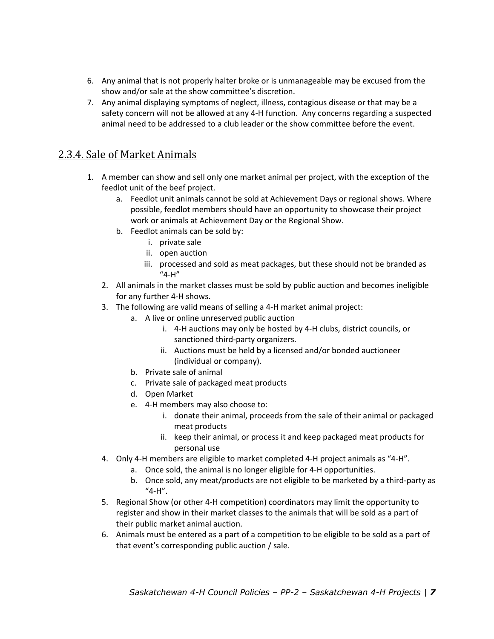- 6. Any animal that is not properly halter broke or is unmanageable may be excused from the show and/or sale at the show committee's discretion.
- 7. Any animal displaying symptoms of neglect, illness, contagious disease or that may be a safety concern will not be allowed at any 4‐H function. Any concerns regarding a suspected animal need to be addressed to a club leader or the show committee before the event.

#### 2.3.4. Sale of Market Animals

- 1. A member can show and sell only one market animal per project, with the exception of the feedlot unit of the beef project.
	- a. Feedlot unit animals cannot be sold at Achievement Days or regional shows. Where possible, feedlot members should have an opportunity to showcase their project work or animals at Achievement Day or the Regional Show.
	- b. Feedlot animals can be sold by:
		- i. private sale
		- ii. open auction
		- iii. processed and sold as meat packages, but these should not be branded as "4‐H"
	- 2. All animals in the market classes must be sold by public auction and becomes ineligible for any further 4‐H shows.
	- 3. The following are valid means of selling a 4‐H market animal project:
		- a. A live or online unreserved public auction
			- i. 4‐H auctions may only be hosted by 4‐H clubs, district councils, or sanctioned third‐party organizers.
			- ii. Auctions must be held by a licensed and/or bonded auctioneer (individual or company).
		- b. Private sale of animal
		- c. Private sale of packaged meat products
		- d. Open Market
		- e. 4‐H members may also choose to:
			- i. donate their animal, proceeds from the sale of their animal or packaged meat products
			- ii. keep their animal, or process it and keep packaged meat products for personal use
	- 4. Only 4‐H members are eligible to market completed 4‐H project animals as "4‐H".
		- a. Once sold, the animal is no longer eligible for 4‐H opportunities.
		- b. Once sold, any meat/products are not eligible to be marketed by a third‐party as "4‐H".
	- 5. Regional Show (or other 4-H competition) coordinators may limit the opportunity to register and show in their market classes to the animals that will be sold as a part of their public market animal auction.
	- 6. Animals must be entered as a part of a competition to be eligible to be sold as a part of that event's corresponding public auction / sale.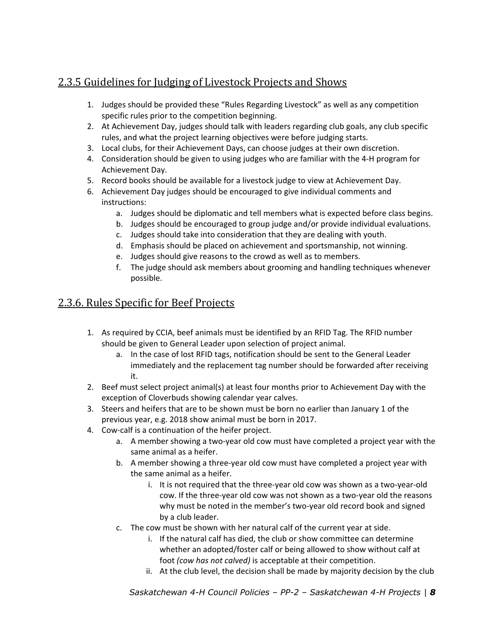# 2.3.5 Guidelines for Judging of Livestock Projects and Shows

- 1. Judges should be provided these "Rules Regarding Livestock" as well as any competition specific rules prior to the competition beginning.
- 2. At Achievement Day, judges should talk with leaders regarding club goals, any club specific rules, and what the project learning objectives were before judging starts.
- 3. Local clubs, for their Achievement Days, can choose judges at their own discretion.
- 4. Consideration should be given to using judges who are familiar with the 4‐H program for Achievement Day.
- 5. Record books should be available for a livestock judge to view at Achievement Day.
- 6. Achievement Day judges should be encouraged to give individual comments and instructions:
	- a. Judges should be diplomatic and tell members what is expected before class begins.
	- b. Judges should be encouraged to group judge and/or provide individual evaluations.
	- c. Judges should take into consideration that they are dealing with youth.
	- d. Emphasis should be placed on achievement and sportsmanship, not winning.
	- e. Judges should give reasons to the crowd as well as to members.
	- f. The judge should ask members about grooming and handling techniques whenever possible.

# 2.3.6. Rules Specific for Beef Projects

- 1. As required by CCIA, beef animals must be identified by an RFID Tag. The RFID number should be given to General Leader upon selection of project animal.
	- a. In the case of lost RFID tags, notification should be sent to the General Leader immediately and the replacement tag number should be forwarded after receiving it.
- 2. Beef must select project animal(s) at least four months prior to Achievement Day with the exception of Cloverbuds showing calendar year calves.
- 3. Steers and heifers that are to be shown must be born no earlier than January 1 of the previous year, e.g. 2018 show animal must be born in 2017.
- 4. Cow-calf is a continuation of the heifer project.
	- a. A member showing a two-year old cow must have completed a project year with the same animal as a heifer.
	- b. A member showing a three‐year old cow must have completed a project year with the same animal as a heifer.
		- i. It is not required that the three‐year old cow was shown as a two‐year‐old cow. If the three‐year old cow was not shown as a two‐year old the reasons why must be noted in the member's two-year old record book and signed by a club leader.
	- c. The cow must be shown with her natural calf of the current year at side.
		- i. If the natural calf has died, the club or show committee can determine whether an adopted/foster calf or being allowed to show without calf at foot *(cow has not calved)* is acceptable at their competition.
		- ii. At the club level, the decision shall be made by majority decision by the club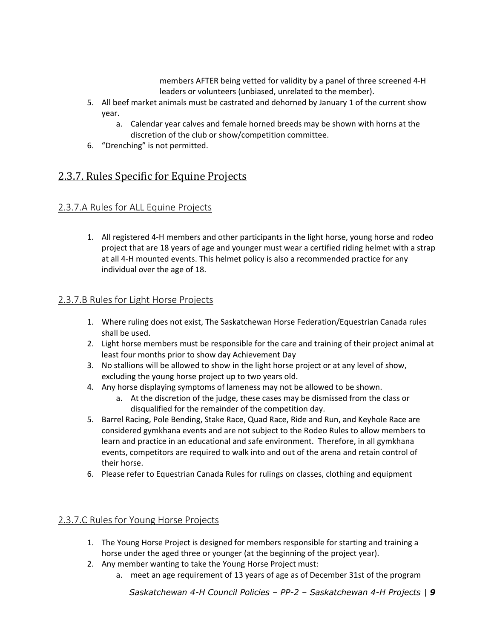members AFTER being vetted for validity by a panel of three screened 4‐H leaders or volunteers (unbiased, unrelated to the member).

- 5. All beef market animals must be castrated and dehorned by January 1 of the current show year.
	- a. Calendar year calves and female horned breeds may be shown with horns at the discretion of the club or show/competition committee.
- 6. "Drenching" is not permitted.

# 2.3.7. Rules Specific for Equine Projects

#### 2.3.7.A Rules for ALL Equine Projects

1. All registered 4‐H members and other participants in the light horse, young horse and rodeo project that are 18 years of age and younger must wear a certified riding helmet with a strap at all 4‐H mounted events. This helmet policy is also a recommended practice for any individual over the age of 18.

#### 2.3.7.B Rules for Light Horse Projects

- 1. Where ruling does not exist, The Saskatchewan Horse Federation/Equestrian Canada rules shall be used.
- 2. Light horse members must be responsible for the care and training of their project animal at least four months prior to show day Achievement Day
- 3. No stallions will be allowed to show in the light horse project or at any level of show, excluding the young horse project up to two years old.
- 4. Any horse displaying symptoms of lameness may not be allowed to be shown.
	- a. At the discretion of the judge, these cases may be dismissed from the class or disqualified for the remainder of the competition day.
- 5. Barrel Racing, Pole Bending, Stake Race, Quad Race, Ride and Run, and Keyhole Race are considered gymkhana events and are not subject to the Rodeo Rules to allow members to learn and practice in an educational and safe environment. Therefore, in all gymkhana events, competitors are required to walk into and out of the arena and retain control of their horse.
- 6. Please refer to Equestrian Canada Rules for rulings on classes, clothing and equipment

#### 2.3.7.C Rules for Young Horse Projects

- 1. The Young Horse Project is designed for members responsible for starting and training a horse under the aged three or younger (at the beginning of the project year).
- 2. Any member wanting to take the Young Horse Project must:
	- a. meet an age requirement of 13 years of age as of December 31st of the program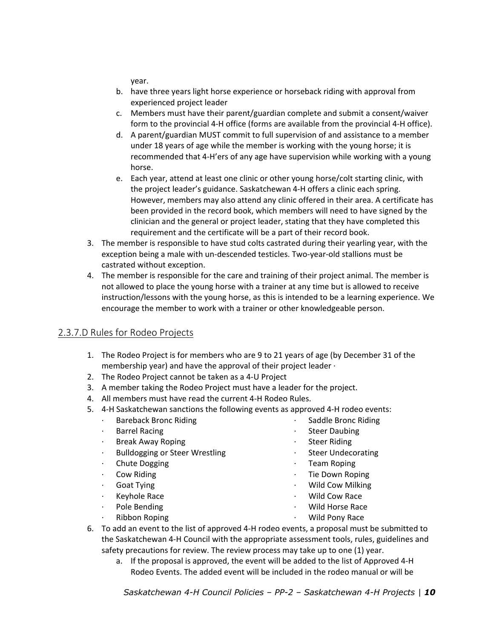year.

- b. have three years light horse experience or horseback riding with approval from experienced project leader
- c. Members must have their parent/guardian complete and submit a consent/waiver form to the provincial 4‐H office (forms are available from the provincial 4‐H office).
- d. A parent/guardian MUST commit to full supervision of and assistance to a member under 18 years of age while the member is working with the young horse; it is recommended that 4‐H'ers of any age have supervision while working with a young horse.
- e. Each year, attend at least one clinic or other young horse/colt starting clinic, with the project leader's guidance. Saskatchewan 4‐H offers a clinic each spring. However, members may also attend any clinic offered in their area. A certificate has been provided in the record book, which members will need to have signed by the clinician and the general or project leader, stating that they have completed this requirement and the certificate will be a part of their record book.
- 3. The member is responsible to have stud colts castrated during their yearling year, with the exception being a male with un‐descended testicles. Two‐year‐old stallions must be castrated without exception.
- 4. The member is responsible for the care and training of their project animal. The member is not allowed to place the young horse with a trainer at any time but is allowed to receive instruction/lessons with the young horse, as this is intended to be a learning experience. We encourage the member to work with a trainer or other knowledgeable person.

#### 2.3.7.D Rules for Rodeo Projects

- 1. The Rodeo Project is for members who are 9 to 21 years of age (by December 31 of the membership year) and have the approval of their project leader ∙
- 2. The Rodeo Project cannot be taken as a 4‐U Project
- 3. A member taking the Rodeo Project must have a leader for the project.
- 4. All members must have read the current 4‐H Rodeo Rules.
- 5. 4-H Saskatchewan sanctions the following events as approved 4-H rodeo events:
	- ∙ Bareback Bronc Riding
	- ∙ Barrel Racing
	- ∙ Break Away Roping
	- ∙ Bulldogging or Steer Wrestling
	- ∙ Chute Dogging
	- ∙ Cow Riding
	- ∙ Goat Tying
	- ∙ Keyhole Race
	- ∙ Pole Bending
	- ∙ Ribbon Roping
- ∙ Saddle Bronc Riding
	- ∙ Steer Daubing
	- ∙ Steer Riding
	- ∙ Steer Undecorating
	- ∙ Team Roping
	- ∙ Tie Down Roping
	- ∙ Wild Cow Milking
	- ∙ Wild Cow Race
	- ∙ Wild Horse Race
	- ∙ Wild Pony Race
- 6. To add an event to the list of approved 4‐H rodeo events, a proposal must be submitted to the Saskatchewan 4‐H Council with the appropriate assessment tools, rules, guidelines and safety precautions for review. The review process may take up to one (1) year.
	- a. If the proposal is approved, the event will be added to the list of Approved 4‐H Rodeo Events. The added event will be included in the rodeo manual or will be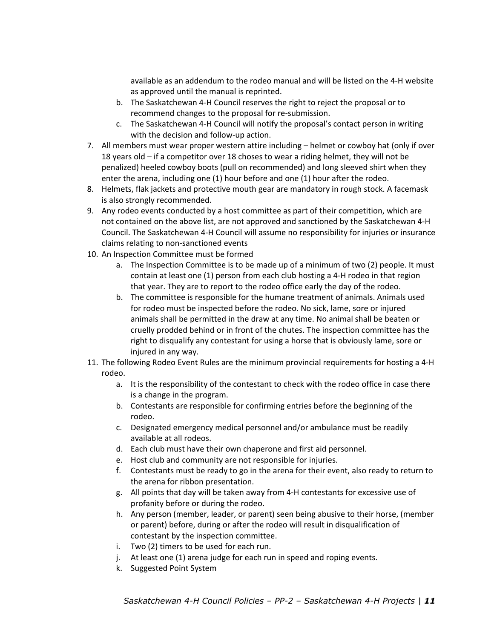available as an addendum to the rodeo manual and will be listed on the 4‐H website as approved until the manual is reprinted.

- b. The Saskatchewan 4‐H Council reserves the right to reject the proposal or to recommend changes to the proposal for re‐submission.
- c. The Saskatchewan 4‐H Council will notify the proposal's contact person in writing with the decision and follow-up action.
- 7. All members must wear proper western attire including helmet or cowboy hat (only if over 18 years old – if a competitor over 18 choses to wear a riding helmet, they will not be penalized) heeled cowboy boots (pull on recommended) and long sleeved shirt when they enter the arena, including one (1) hour before and one (1) hour after the rodeo.
- 8. Helmets, flak jackets and protective mouth gear are mandatory in rough stock. A facemask is also strongly recommended.
- 9. Any rodeo events conducted by a host committee as part of their competition, which are not contained on the above list, are not approved and sanctioned by the Saskatchewan 4‐H Council. The Saskatchewan 4‐H Council will assume no responsibility for injuries or insurance claims relating to non‐sanctioned events
- 10. An Inspection Committee must be formed
	- a. The Inspection Committee is to be made up of a minimum of two (2) people. It must contain at least one (1) person from each club hosting a 4‐H rodeo in that region that year. They are to report to the rodeo office early the day of the rodeo.
	- b. The committee is responsible for the humane treatment of animals. Animals used for rodeo must be inspected before the rodeo. No sick, lame, sore or injured animals shall be permitted in the draw at any time. No animal shall be beaten or cruelly prodded behind or in front of the chutes. The inspection committee has the right to disqualify any contestant for using a horse that is obviously lame, sore or injured in any way.
- 11. The following Rodeo Event Rules are the minimum provincial requirements for hosting a 4‐H rodeo.
	- a. It is the responsibility of the contestant to check with the rodeo office in case there is a change in the program.
	- b. Contestants are responsible for confirming entries before the beginning of the rodeo.
	- c. Designated emergency medical personnel and/or ambulance must be readily available at all rodeos.
	- d. Each club must have their own chaperone and first aid personnel.
	- e. Host club and community are not responsible for injuries.
	- f. Contestants must be ready to go in the arena for their event, also ready to return to the arena for ribbon presentation.
	- g. All points that day will be taken away from 4‐H contestants for excessive use of profanity before or during the rodeo.
	- h. Any person (member, leader, or parent) seen being abusive to their horse, (member or parent) before, during or after the rodeo will result in disqualification of contestant by the inspection committee.
	- i. Two (2) timers to be used for each run.
	- j. At least one (1) arena judge for each run in speed and roping events.
	- k. Suggested Point System